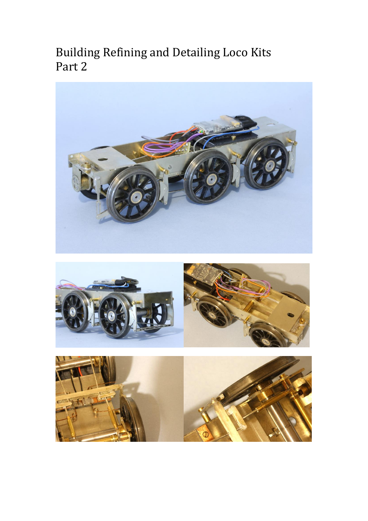Building Refining and Detailing Loco Kits Part 2

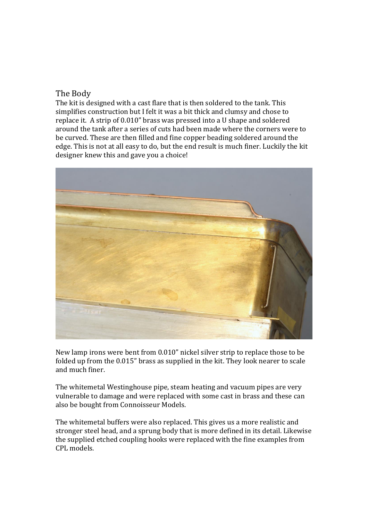## The Body

The kit is designed with a cast flare that is then soldered to the tank. This simplifies construction but I felt it was a bit thick and clumsy and chose to replace it. A strip of 0.010" brass was pressed into a U shape and soldered around the tank after a series of cuts had been made where the corners were to be curved. These are then filled and fine copper beading soldered around the edge. This is not at all easy to do, but the end result is much finer. Luckily the kit designer knew this and gave you a choice!



New lamp irons were bent from 0.010" nickel silver strip to replace those to be folded up from the 0.015" brass as supplied in the kit. They look nearer to scale and much finer.

The whitemetal Westinghouse pipe, steam heating and vacuum pipes are very vulnerable to damage and were replaced with some cast in brass and these can also be bought from Connoisseur Models.

The whitemetal buffers were also replaced. This gives us a more realistic and stronger steel head, and a sprung body that is more defined in its detail. Likewise the supplied etched coupling hooks were replaced with the fine examples from CPL models.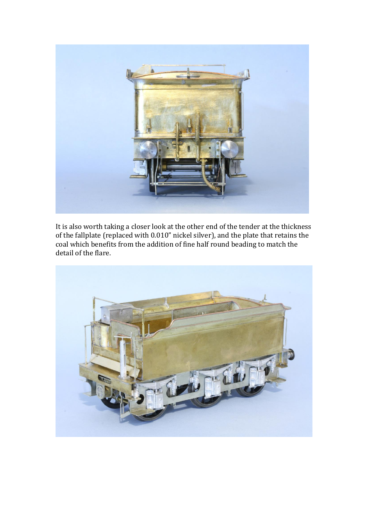

It is also worth taking a closer look at the other end of the tender at the thickness of the fallplate (replaced with 0.010" nickel silver), and the plate that retains the coal which benefits from the addition of fine half round beading to match the detail of the flare.

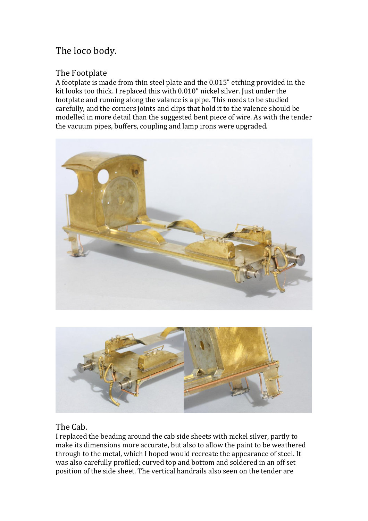# The loco body.

# The Footplate

A footplate is made from thin steel plate and the 0.015" etching provided in the kit looks too thick. I replaced this with 0.010" nickel silver. Just under the footplate and running along the valance is a pipe. This needs to be studied carefully, and the corners joints and clips that hold it to the valence should be modelled in more detail than the suggested bent piece of wire. As with the tender the vacuum pipes, buffers, coupling and lamp irons were upgraded.





## The Cab.

I replaced the beading around the cab side sheets with nickel silver, partly to make its dimensions more accurate, but also to allow the paint to be weathered through to the metal, which I hoped would recreate the appearance of steel. It was also carefully profiled; curved top and bottom and soldered in an off set position of the side sheet. The vertical handrails also seen on the tender are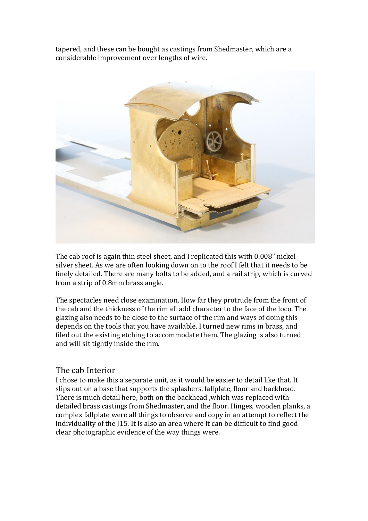tapered, and these can be bought as castings from Shedmaster, which are a considerable improvement over lengths of wire.



The cab roof is again thin steel sheet, and I replicated this with 0.008" nickel silver sheet. As we are often looking down on to the roof I felt that it needs to be finely detailed. There are many bolts to be added, and a rail strip, which is curved from a strip of 0.8mm brass angle.

The spectacles need close examination. How far they protrude from the front of the cab and the thickness of the rim all add character to the face of the loco. The glazing also needs to be close to the surface of the rim and ways of doing this depends on the tools that you have available. I turned new rims in brass, and filed out the existing etching to accommodate them. The glazing is also turned and will sit tightly inside the rim.

#### The cab Interior

I chose to make this a separate unit, as it would be easier to detail like that. It slips out on a base that supports the splashers, fallplate, floor and backhead. There is much detail here, both on the backhead ,which was replaced with detailed brass castings from Shedmaster, and the floor. Hinges, wooden planks, a complex fallplate were all things to observe and copy in an attempt to reflect the individuality of the J15. It is also an area where it can be difficult to find good clear photographic evidence of the way things were.